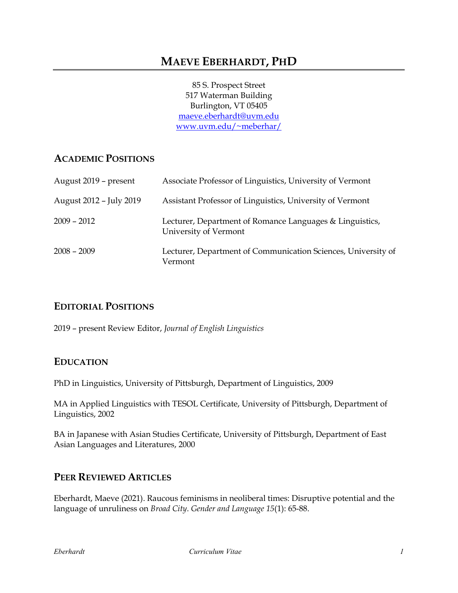85 S. Prospect Street 517 Waterman Building Burlington, VT 05405 [maeve.eberhardt@uvm.edu](mailto:maeve.eberhardt@uvm.edu) [www.uvm.edu/~meberhar/](http://www.uvm.edu/%7Emeberhar/)

# **ACADEMIC POSITIONS**

| August 2019 – present   | Associate Professor of Linguistics, University of Vermont                         |
|-------------------------|-----------------------------------------------------------------------------------|
| August 2012 - July 2019 | Assistant Professor of Linguistics, University of Vermont                         |
| $2009 - 2012$           | Lecturer, Department of Romance Languages & Linguistics,<br>University of Vermont |
| $2008 - 2009$           | Lecturer, Department of Communication Sciences, University of<br>Vermont          |

### **EDITORIAL POSITIONS**

2019 – present Review Editor, *Journal of English Linguistics*

### **EDUCATION**

PhD in Linguistics, University of Pittsburgh, Department of Linguistics, 2009

MA in Applied Linguistics with TESOL Certificate, University of Pittsburgh, Department of Linguistics, 2002

BA in Japanese with Asian Studies Certificate, University of Pittsburgh, Department of East Asian Languages and Literatures, 2000

## **PEER REVIEWED ARTICLES**

Eberhardt, Maeve (2021). Raucous feminisms in neoliberal times: Disruptive potential and the language of unruliness on *Broad City*. *Gender and Language 15*(1): 65-88.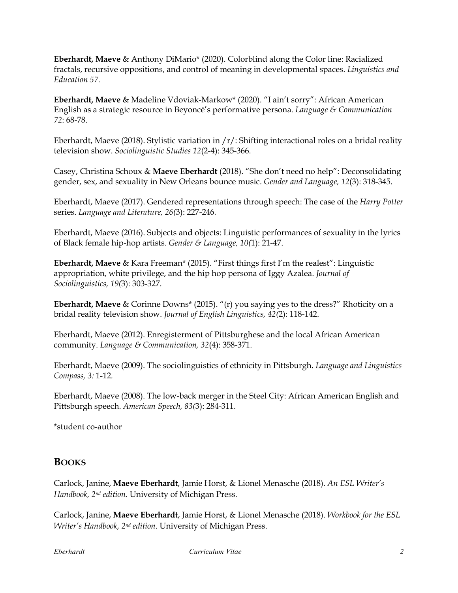**Eberhardt, Maeve** & Anthony DiMario\* (2020). Colorblind along the Color line: Racialized fractals, recursive oppositions, and control of meaning in developmental spaces. *Linguistics and Education 57*.

**Eberhardt, Maeve** & Madeline Vdoviak-Markow\* (2020). "I ain't sorry": African American English as a strategic resource in Beyoncé's performative persona. *Language & Communication 72*: 68-78.

Eberhardt, Maeve (2018). Stylistic variation in  $/r/$ : Shifting interactional roles on a bridal reality television show. *Sociolinguistic Studies 12*(2-4): 345-366.

Casey, Christina Schoux & **Maeve Eberhardt** (2018). "She don't need no help": Deconsolidating gender, sex, and sexuality in New Orleans bounce music. *Gender and Language, 12*(3): 318-345.

Eberhardt, Maeve (2017). Gendered representations through speech: The case of the *Harry Potter* series. *Language and Literature, 26(*3): 227-246*.*

Eberhardt, Maeve (2016). Subjects and objects: Linguistic performances of sexuality in the lyrics of Black female hip-hop artists. *Gender & Language, 10(*1): 21-47.

**Eberhardt, Maeve** & Kara Freeman\* (2015). "First things first I'm the realest": Linguistic appropriation, white privilege, and the hip hop persona of Iggy Azalea. *Journal of Sociolinguistics, 19(*3): 303-327.

**Eberhardt, Maeve** & Corinne Downs\* (2015). "(r) you saying yes to the dress?" Rhoticity on a bridal reality television show. *Journal of English Linguistics, 42(*2): 118-142.

Eberhardt, Maeve (2012). Enregisterment of Pittsburghese and the local African American community. *Language & Communication, 32*(4): 358-371.

Eberhardt, Maeve (2009). The sociolinguistics of ethnicity in Pittsburgh. *Language and Linguistics Compass, 3:* 1-12*.*

Eberhardt, Maeve (2008). The low-back merger in the Steel City: African American English and Pittsburgh speech. *American Speech, 83(*3): 284-311.

\*student co-author

### **BOOKS**

Carlock, Janine, **Maeve Eberhardt**, Jamie Horst, & Lionel Menasche (2018). *An ESL Writer's Handbook, 2nd edition*. University of Michigan Press.

Carlock, Janine, **Maeve Eberhardt**, Jamie Horst, & Lionel Menasche (2018). *Workbook for the ESL Writer's Handbook, 2nd edition*. University of Michigan Press.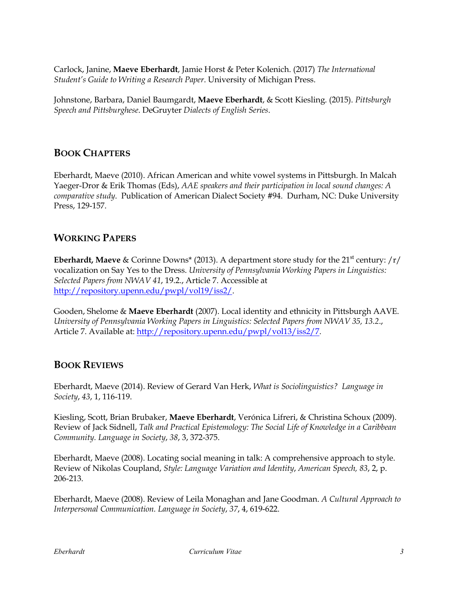Carlock, Janine, **Maeve Eberhardt**, Jamie Horst & Peter Kolenich. (2017) *The International Student's Guide to Writing a Research Paper*. University of Michigan Press.

Johnstone, Barbara, Daniel Baumgardt, **Maeve Eberhardt**, & Scott Kiesling. (2015). *Pittsburgh Speech and Pittsburghese*. DeGruyter *Dialects of English Series*.

## **BOOK CHAPTERS**

Eberhardt, Maeve (2010). African American and white vowel systems in Pittsburgh. In Malcah Yaeger-Dror & Erik Thomas (Eds), *AAE speakers and their participation in local sound changes: A comparative study*. Publication of American Dialect Society #94. Durham, NC: Duke University Press, 129-157.

## **WORKING PAPERS**

**Eberhardt, Maeve** & Corinne Downs<sup>\*</sup> (2013). A department store study for the 21<sup>st</sup> century: /r/ vocalization on Say Yes to the Dress. *University of Pennsylvania Working Papers in Linguistics: Selected Papers from NWAV 41*, 19.2., Article 7. Accessible at [http://repository.upenn.edu/pwpl/vol19/iss2/.](http://repository.upenn.edu/pwpl/vol19/iss2/)

Gooden, Shelome & **Maeve Eberhardt** (2007). Local identity and ethnicity in Pittsburgh AAVE. *University of Pennsylvania Working Papers in Linguistics: Selected Papers from NWAV 35, 13.2*., Article 7. Available at: [http://repository.upenn.edu/pwpl/vol13/iss2/7.](http://repository.upenn.edu/pwpl/vol13/iss2/7)

### **BOOK REVIEWS**

Eberhardt, Maeve (2014). Review of Gerard Van Herk, *What is Sociolinguistics? Language in Society*, *43*, 1, 116-119.

Kiesling, Scott, Brian Brubaker, **Maeve Eberhardt**, Verónica Lifreri, & Christina Schoux (2009). Review of Jack Sidnell, *Talk and Practical Epistemology: The Social Life of Knowledge in a Caribbean Community. Language in Society*, *38*, 3, 372-375.

Eberhardt, Maeve (2008). Locating social meaning in talk: A comprehensive approach to style. Review of Nikolas Coupland, *Style: Language Variation and Identity*, *American Speech, 83*, 2, p. 206-213.

Eberhardt, Maeve (2008). Review of Leila Monaghan and Jane Goodman. *A Cultural Approach to Interpersonal Communication. Language in Society*, *37*, 4, 619-622.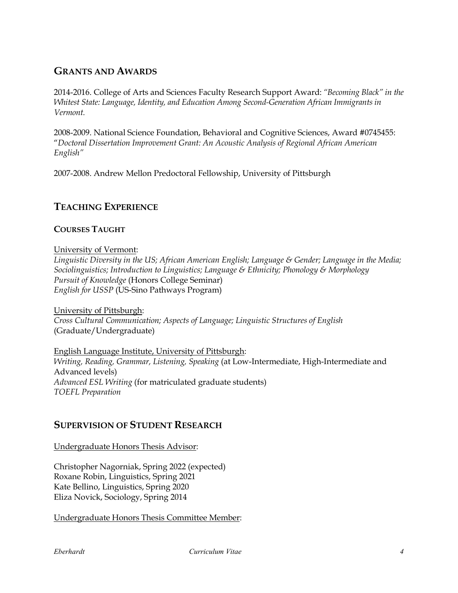## **GRANTS AND AWARDS**

2014-2016. College of Arts and Sciences Faculty Research Support Award: *"Becoming Black" in the Whitest State: Language, Identity, and Education Among Second-Generation African Immigrants in Vermont.*

2008-2009. National Science Foundation, Behavioral and Cognitive Sciences, Award #0745455: "*Doctoral Dissertation Improvement Grant: An Acoustic Analysis of Regional African American English"*

2007-2008. Andrew Mellon Predoctoral Fellowship, University of Pittsburgh

## **TEACHING EXPERIENCE**

#### **COURSES TAUGHT**

University of Vermont:

*Linguistic Diversity in the US; African American English; Language & Gender; Language in the Media; Sociolinguistics; Introduction to Linguistics; Language & Ethnicity; Phonology & Morphology Pursuit of Knowledge* (Honors College Seminar) *English for USSP* (US-Sino Pathways Program)

University of Pittsburgh: *Cross Cultural Communication; Aspects of Language; Linguistic Structures of English* (Graduate/Undergraduate)

English Language Institute, University of Pittsburgh: *Writing, Reading, Grammar, Listening, Speaking* (at Low-Intermediate, High-Intermediate and Advanced levels) *Advanced ESL Writing* (for matriculated graduate students) *TOEFL Preparation*

### **SUPERVISION OF STUDENT RESEARCH**

Undergraduate Honors Thesis Advisor:

Christopher Nagorniak, Spring 2022 (expected) Roxane Robin, Linguistics, Spring 2021 Kate Bellino, Linguistics, Spring 2020 Eliza Novick, Sociology, Spring 2014

Undergraduate Honors Thesis Committee Member: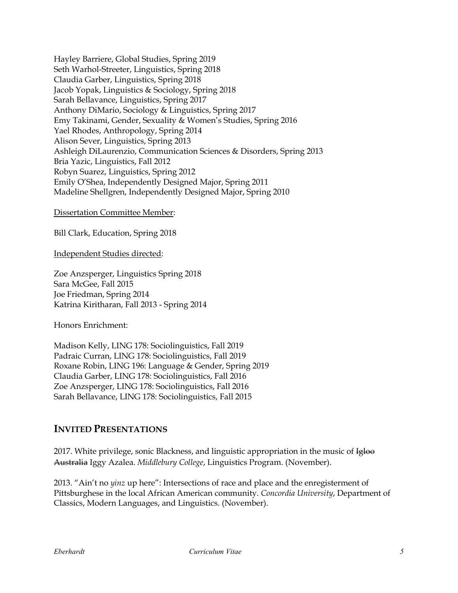Hayley Barriere, Global Studies, Spring 2019 Seth Warhol-Streeter, Linguistics, Spring 2018 Claudia Garber, Linguistics, Spring 2018 Jacob Yopak, Linguistics & Sociology, Spring 2018 Sarah Bellavance, Linguistics, Spring 2017 Anthony DiMario, Sociology & Linguistics, Spring 2017 Emy Takinami, Gender, Sexuality & Women's Studies, Spring 2016 Yael Rhodes, Anthropology, Spring 2014 Alison Sever, Linguistics, Spring 2013 Ashleigh DiLaurenzio, Communication Sciences & Disorders, Spring 2013 Bria Yazic, Linguistics, Fall 2012 Robyn Suarez, Linguistics, Spring 2012 Emily O'Shea, Independently Designed Major, Spring 2011 Madeline Shellgren, Independently Designed Major, Spring 2010

Dissertation Committee Member:

Bill Clark, Education, Spring 2018

Independent Studies directed:

Zoe Anzsperger, Linguistics Spring 2018 Sara McGee, Fall 2015 Joe Friedman, Spring 2014 Katrina Kiritharan, Fall 2013 - Spring 2014

Honors Enrichment:

Madison Kelly, LING 178: Sociolinguistics, Fall 2019 Padraic Curran, LING 178: Sociolinguistics, Fall 2019 Roxane Robin, LING 196: Language & Gender, Spring 2019 Claudia Garber, LING 178: Sociolinguistics, Fall 2016 Zoe Anzsperger, LING 178: Sociolinguistics, Fall 2016 Sarah Bellavance, LING 178: Sociolinguistics, Fall 2015

### **INVITED PRESENTATIONS**

2017. White privilege, sonic Blackness, and linguistic appropriation in the music of  $\frac{1}{2}$ Australia Iggy Azalea. *Middlebury College*, Linguistics Program. (November).

2013. "Ain't no *yinz* up here": Intersections of race and place and the enregisterment of Pittsburghese in the local African American community. *Concordia University*, Department of Classics, Modern Languages, and Linguistics. (November).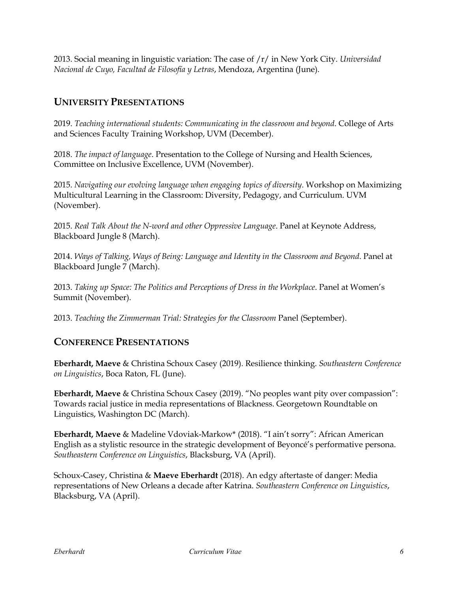2013. Social meaning in linguistic variation: The case of /r/ in New York City. *Universidad Nacional de Cuyo, Facultad de Filosofía y Letras*, Mendoza, Argentina (June).

## **UNIVERSITY PRESENTATIONS**

2019. *Teaching international students: Communicating in the classroom and beyond*. College of Arts and Sciences Faculty Training Workshop, UVM (December).

2018. *The impact of language*. Presentation to the College of Nursing and Health Sciences, Committee on Inclusive Excellence, UVM (November).

2015. *Navigating our evolving language when engaging topics of diversity*. Workshop on Maximizing Multicultural Learning in the Classroom: Diversity, Pedagogy, and Curriculum. UVM (November).

2015. *Real Talk About the N-word and other Oppressive Language*. Panel at Keynote Address, Blackboard Jungle 8 (March).

2014. *Ways of Talking, Ways of Being: Language and Identity in the Classroom and Beyond*. Panel at Blackboard Jungle 7 (March).

2013. *Taking up Space: The Politics and Perceptions of Dress in the Workplace*. Panel at Women's Summit (November).

2013. *Teaching the Zimmerman Trial: Strategies for the Classroom* Panel (September).

### **CONFERENCE PRESENTATIONS**

**Eberhardt, Maeve** & Christina Schoux Casey (2019). Resilience thinking. *Southeastern Conference on Linguistics*, Boca Raton, FL (June).

**Eberhardt, Maeve** & Christina Schoux Casey (2019). "No peoples want pity over compassion": Towards racial justice in media representations of Blackness. Georgetown Roundtable on Linguistics, Washington DC (March).

**Eberhardt, Maeve** & Madeline Vdoviak-Markow\* (2018). "I ain't sorry": African American English as a stylistic resource in the strategic development of Beyoncé's performative persona. *Southeastern Conference on Linguistics*, Blacksburg, VA (April).

Schoux-Casey, Christina & **Maeve Eberhardt** (2018). An edgy aftertaste of danger: Media representations of New Orleans a decade after Katrina. *Southeastern Conference on Linguistics*, Blacksburg, VA (April).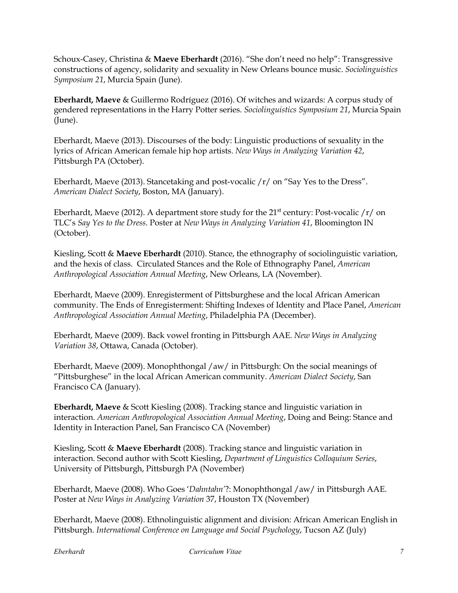Schoux-Casey, Christina & **Maeve Eberhardt** (2016). "She don't need no help": Transgressive constructions of agency, solidarity and sexuality in New Orleans bounce music. *Sociolinguistics Symposium 21*, Murcia Spain (June).

**Eberhardt, Maeve** & Guillermo Rodríguez (2016). Of witches and wizards: A corpus study of gendered representations in the Harry Potter series. *Sociolinguistics Symposium 21*, Murcia Spain (June).

Eberhardt, Maeve (2013). Discourses of the body: Linguistic productions of sexuality in the lyrics of African American female hip hop artists. *New Ways in Analyzing Variation 42*, Pittsburgh PA (October).

Eberhardt, Maeve (2013). Stancetaking and post-vocalic /r/ on "Say Yes to the Dress". *American Dialect Society*, Boston, MA (January).

Eberhardt, Maeve (2012). A department store study for the  $21^{st}$  century: Post-vocalic  $/r/$  on TLC's *Say Yes to the Dress*. Poster at *New Ways in Analyzing Variation 41*, Bloomington IN (October).

Kiesling, Scott & **Maeve Eberhardt** (2010). Stance, the ethnography of sociolinguistic variation, and the hexis of class. Circulated Stances and the Role of Ethnography Panel, *American Anthropological Association Annual Meeting*, New Orleans, LA (November).

Eberhardt, Maeve (2009). Enregisterment of Pittsburghese and the local African American community. The Ends of Enregisterment: Shifting Indexes of Identity and Place Panel, *American Anthropological Association Annual Meeting*, Philadelphia PA (December).

Eberhardt, Maeve (2009). Back vowel fronting in Pittsburgh AAE. *New Ways in Analyzing Variation 38*, Ottawa, Canada (October).

Eberhardt, Maeve (2009). Monophthongal /aw/ in Pittsburgh: On the social meanings of "Pittsburghese" in the local African American community. *American Dialect Society*, San Francisco CA (January).

**Eberhardt, Maeve** & Scott Kiesling (2008). Tracking stance and linguistic variation in interaction. *American Anthropological Association Annual Meeting*, Doing and Being: Stance and Identity in Interaction Panel, San Francisco CA (November)

Kiesling, Scott & **Maeve Eberhardt** (2008). Tracking stance and linguistic variation in interaction. Second author with Scott Kiesling, *Department of Linguistics Colloquium Series*, University of Pittsburgh, Pittsburgh PA (November)

Eberhardt, Maeve (2008). Who Goes '*Dahntahn'*?: Monophthongal /aw/ in Pittsburgh AAE. Poster at *New Ways in Analyzing Variation* 37, Houston TX (November)

Eberhardt, Maeve (2008). Ethnolinguistic alignment and division: African American English in Pittsburgh. *International Conference on Language and Social Psychology*, Tucson AZ (July)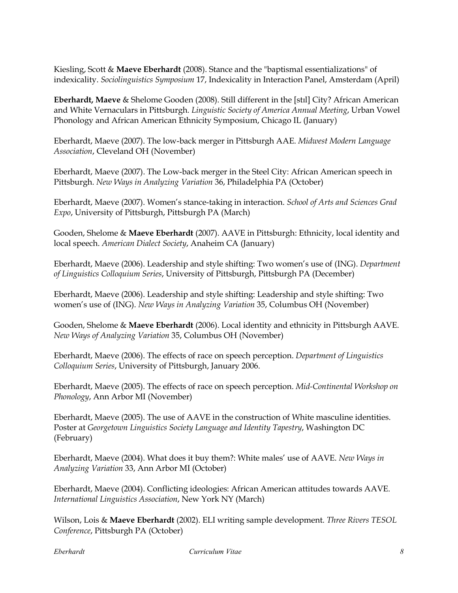Kiesling, Scott & **Maeve Eberhardt** (2008). Stance and the "baptismal essentializations" of indexicality. *Sociolinguistics Symposium* 17, Indexicality in Interaction Panel, Amsterdam (April)

**Eberhardt, Maeve** & Shelome Gooden (2008). Still different in the [stɪl] City? African American and White Vernaculars in Pittsburgh. *Linguistic Society of America Annual Meeting*, Urban Vowel Phonology and African American Ethnicity Symposium, Chicago IL (January)

Eberhardt, Maeve (2007). The low-back merger in Pittsburgh AAE. *Midwest Modern Language Association*, Cleveland OH (November)

Eberhardt, Maeve (2007). The Low-back merger in the Steel City: African American speech in Pittsburgh. *New Ways in Analyzing Variation* 36, Philadelphia PA (October)

Eberhardt, Maeve (2007). Women's stance-taking in interaction. *School of Arts and Sciences Grad Expo*, University of Pittsburgh, Pittsburgh PA (March)

Gooden, Shelome & **Maeve Eberhardt** (2007). AAVE in Pittsburgh: Ethnicity, local identity and local speech. *American Dialect Society*, Anaheim CA (January)

Eberhardt, Maeve (2006). Leadership and style shifting: Two women's use of (ING). *Department of Linguistics Colloquium Series*, University of Pittsburgh, Pittsburgh PA (December)

Eberhardt, Maeve (2006). Leadership and style shifting: Leadership and style shifting: Two women's use of (ING). *New Ways in Analyzing Variation* 35, Columbus OH (November)

Gooden, Shelome & **Maeve Eberhardt** (2006). Local identity and ethnicity in Pittsburgh AAVE. *New Ways of Analyzing Variation* 35, Columbus OH (November)

Eberhardt, Maeve (2006). The effects of race on speech perception. *Department of Linguistics Colloquium Series*, University of Pittsburgh, January 2006.

Eberhardt, Maeve (2005). The effects of race on speech perception. *Mid-Continental Workshop on Phonology*, Ann Arbor MI (November)

Eberhardt, Maeve (2005). The use of AAVE in the construction of White masculine identities. Poster at *Georgetown Linguistics Society Language and Identity Tapestry*, Washington DC (February)

Eberhardt, Maeve (2004). What does it buy them?: White males' use of AAVE. *New Ways in Analyzing Variation* 33, Ann Arbor MI (October)

Eberhardt, Maeve (2004). Conflicting ideologies: African American attitudes towards AAVE. *International Linguistics Association*, New York NY (March)

Wilson, Lois & **Maeve Eberhardt** (2002). ELI writing sample development. *Three Rivers TESOL Conference*, Pittsburgh PA (October)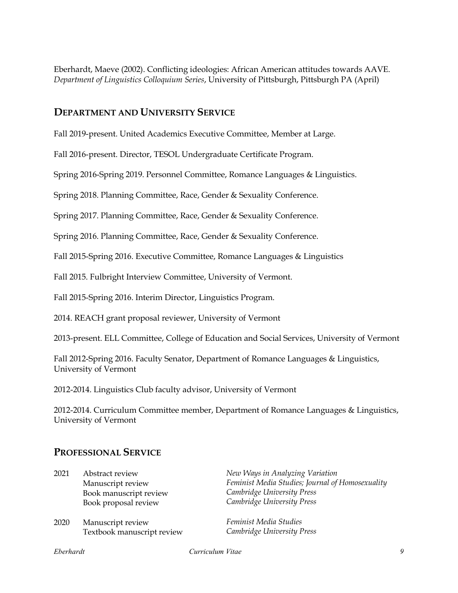Eberhardt, Maeve (2002). Conflicting ideologies: African American attitudes towards AAVE. *Department of Linguistics Colloquium Series*, University of Pittsburgh, Pittsburgh PA (April)

### **DEPARTMENT AND UNIVERSITY SERVICE**

Fall 2019-present. United Academics Executive Committee, Member at Large.

Fall 2016-present. Director, TESOL Undergraduate Certificate Program.

Spring 2016-Spring 2019. Personnel Committee, Romance Languages & Linguistics.

Spring 2018. Planning Committee, Race, Gender & Sexuality Conference.

Spring 2017. Planning Committee, Race, Gender & Sexuality Conference.

Spring 2016. Planning Committee, Race, Gender & Sexuality Conference.

Fall 2015-Spring 2016. Executive Committee, Romance Languages & Linguistics

Fall 2015. Fulbright Interview Committee, University of Vermont.

Fall 2015-Spring 2016. Interim Director, Linguistics Program.

2014. REACH grant proposal reviewer, University of Vermont

2013-present. ELL Committee, College of Education and Social Services, University of Vermont

Fall 2012-Spring 2016. Faculty Senator, Department of Romance Languages & Linguistics, University of Vermont

2012-2014. Linguistics Club faculty advisor, University of Vermont

2012-2014. Curriculum Committee member, Department of Romance Languages & Linguistics, University of Vermont

### **PROFESSIONAL SERVICE**

| 2021 | Abstract review<br>Manuscript review<br>Book manuscript review<br>Book proposal review | New Ways in Analyzing Variation<br>Feminist Media Studies; Journal of Homosexuality<br>Cambridge University Press<br>Cambridge University Press |
|------|----------------------------------------------------------------------------------------|-------------------------------------------------------------------------------------------------------------------------------------------------|
| 2020 | Manuscript review<br>Textbook manuscript review                                        | Feminist Media Studies<br>Cambridge University Press                                                                                            |